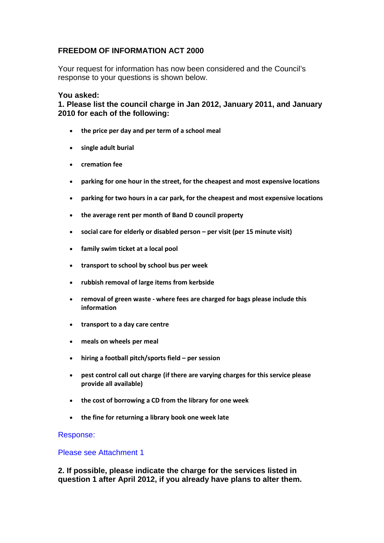# **FREEDOM OF INFORMATION ACT 2000**

Your request for information has now been considered and the Council's response to your questions is shown below.

## **You asked:**

**1. Please list the council charge in Jan 2012, January 2011, and January 2010 for each of the following:**

- **the price per day and per term of a school meal**
- **single adult burial**
- **cremation fee**
- **parking for one hour in the street, for the cheapest and most expensive locations**
- **parking for two hours in a car park, for the cheapest and most expensive locations**
- **the average rent per month of Band D council property**
- **social care for elderly or disabled person per visit (per 15 minute visit)**
- **family swim ticket at a local pool**
- **transport to school by school bus per week**
- **rubbish removal of large items from kerbside**
- **removal of green waste where fees are charged for bags please include this information**
- **transport to a day care centre**
- **meals on wheels per meal**
- **hiring a football pitch/sports field per session**
- **pest control call out charge (if there are varying charges for this service please provide all available)**
- **the cost of borrowing a CD from the library for one week**
- **the fine for returning a library book one week late**

### Response:

#### Please see Attachment 1

**2. If possible, please indicate the charge for the services listed in question 1 after April 2012, if you already have plans to alter them.**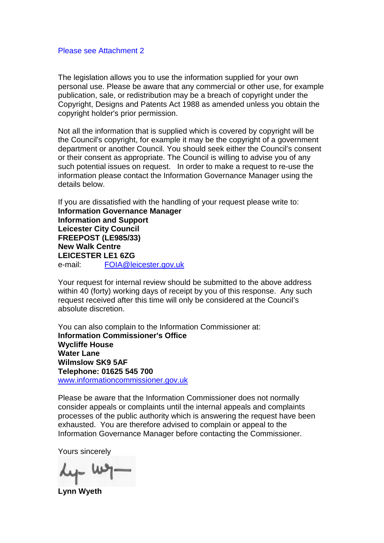#### Please see Attachment 2

The legislation allows you to use the information supplied for your own personal use. Please be aware that any commercial or other use, for example publication, sale, or redistribution may be a breach of copyright under the Copyright, Designs and Patents Act 1988 as amended unless you obtain the copyright holder's prior permission.

Not all the information that is supplied which is covered by copyright will be the Council's copyright, for example it may be the copyright of a government department or another Council. You should seek either the Council's consent or their consent as appropriate. The Council is willing to advise you of any such potential issues on request. In order to make a request to re-use the information please contact the Information Governance Manager using the details below.

If you are dissatisfied with the handling of your request please write to: **Information Governance Manager Information and Support Leicester City Council FREEPOST (LE985/33) New Walk Centre LEICESTER LE1 6ZG**  e-mail: FOIA@leicester.gov.uk

Your request for internal review should be submitted to the above address within 40 (forty) working days of receipt by you of this response. Any such request received after this time will only be considered at the Council's absolute discretion.

You can also complain to the Information Commissioner at: **Information Commissioner's Office Wycliffe House Water Lane Wilmslow SK9 5AF Telephone: 01625 545 700**  www.informationcommissioner.gov.uk

Please be aware that the Information Commissioner does not normally consider appeals or complaints until the internal appeals and complaints processes of the public authority which is answering the request have been exhausted. You are therefore advised to complain or appeal to the Information Governance Manager before contacting the Commissioner.

Yours sincerely

 $\mu$ - $\mu$ 

**Lynn Wyeth**